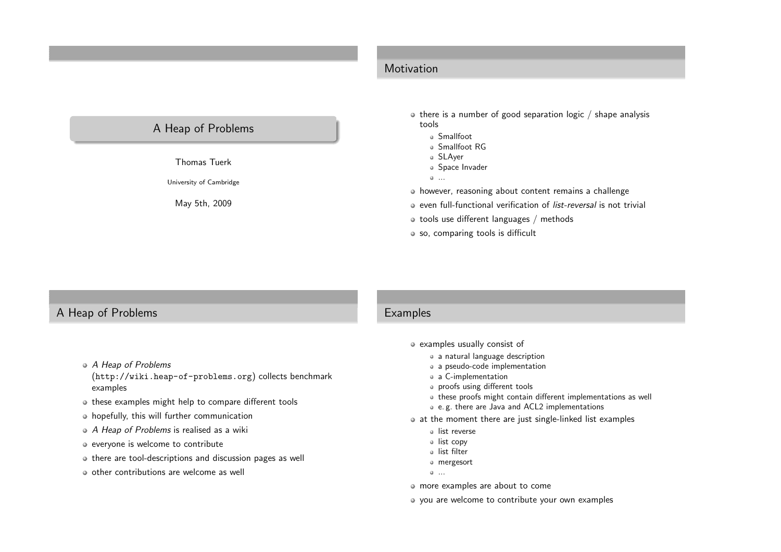# Motivation

# <sup>A</sup> Heap of Problems

Thomas Tuerk

University of Cambridge

May 5th, <sup>2009</sup>

- $\bullet$  there is a number of good separation logic / shape analysis tools
	- Smallfoot
	- Smallfoot RG
	- SLAyer
	- Space Invader
	- ...
- however, reasoning about content remains <sup>a</sup> challenge
- even full-functional verification of list-reversal is not trivial
- $\bullet$  tools use different languages / methods
- o so, comparing tools is difficult

# <sup>A</sup> Heap of Problems

- A Heap of Problems
- (<http://wiki.heap-of-problems.org>) collects benchmarkexamples
- $\bullet$  these examples might help to compare different tools
- hopefully, this will further communication
- <sup>A</sup> Heap of Problems is realised as <sup>a</sup> wiki
- everyone is welcome to contribute
- there are tool-descriptions and discussion pages as well
- $\bullet$  other contributions are welcome as well

#### **Examples**

- examples usually consist of
	- a natural language description
	- <sup>a</sup> pseudo-code implementation
	- <sup>a</sup> C-implementation
	- proofs using different tools
	- these proofs might contain different implementations as well
	- e. g. there are Java and ACL2 implementations
	- at the moment there are just single-linked list examples
		- list reverse
		- list copy
		- list filter
		- mergesort
		- ...
- more examples are about to come
- you are welcome to contribute your own examples